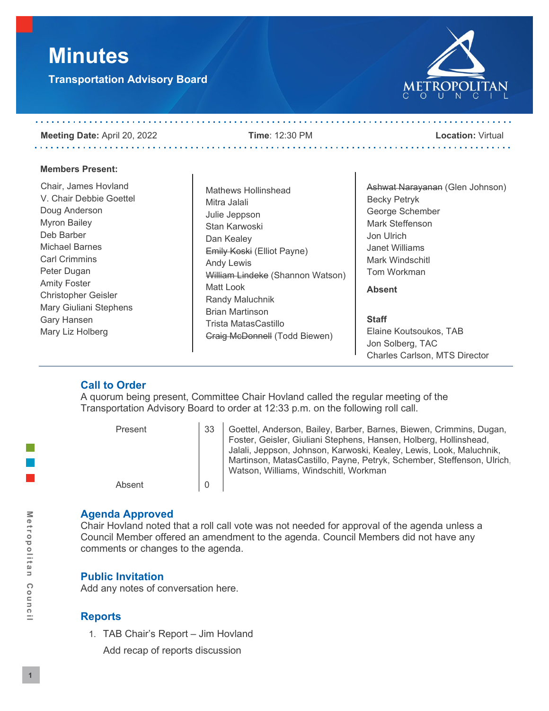# **Minutes**

**Transportation Advisory Board**



#### **Meeting Date:** April 20, 2022 **Time**: 12:30 PM **Location:** Virtual . . . . . . . . . . . . . . . . . . . .

. . . . . . . . . . . . . . . . .

. . . . . . . . . . . .

#### **Members Present:**

Chair, James Hovland V. Chair Debbie Goettel Doug Anderson Myron Bailey Deb Barber Michael Barnes Carl Crimmins Peter Dugan Amity Foster Christopher Geisler Mary Giuliani Stephens Gary Hansen Mary Liz Holberg

Mathews Hollinshead Mitra Jalali Julie Jeppson Stan Karwoski Dan Kealey Emily Koski (Elliot Payne) Andy Lewis William Lindeke (Shannon Watson) Matt Look Randy Maluchnik Brian Martinson Trista MatasCastillo Craig McDonnell (Todd Biewen)

Ashwat Narayanan (Glen Johnson) Becky Petryk George Schember Mark Steffenson Jon Ulrich Janet Williams Mark Windschitl Tom Workman

**Absent**

. . . . . . . . . . . . . . . . . . .

**Staff** Elaine Koutsoukos, TAB Jon Solberg, TAC Charles Carlson, MTS Director

# **Call to Order**

A quorum being present, Committee Chair Hovland called the regular meeting of the Transportation Advisory Board to order at 12:33 p.m. on the following roll call.

Present 33 Goettel, Anderson, Bailey, Barber, Barnes, Biewen, Crimmins, Dugan, Foster, Geisler, Giuliani Stephens, Hansen, Holberg, Hollinshead, Jalali, Jeppson, Johnson, Karwoski, Kealey, Lewis, Look, Maluchnik, Martinson, MatasCastillo, Payne, Petryk, Schember, Steffenson, Ulrich, Watson, Williams, Windschitl, Workman Absent 0

#### **Agenda Approved**

Chair Hovland noted that a roll call vote was not needed for approval of the agenda unless a Council Member offered an amendment to the agenda. Council Members did not have any comments or changes to the agenda.

# **Public Invitation**

Add any notes of conversation here.

# **Reports**

1. TAB Chair's Report – Jim Hovland

Add recap of reports discussion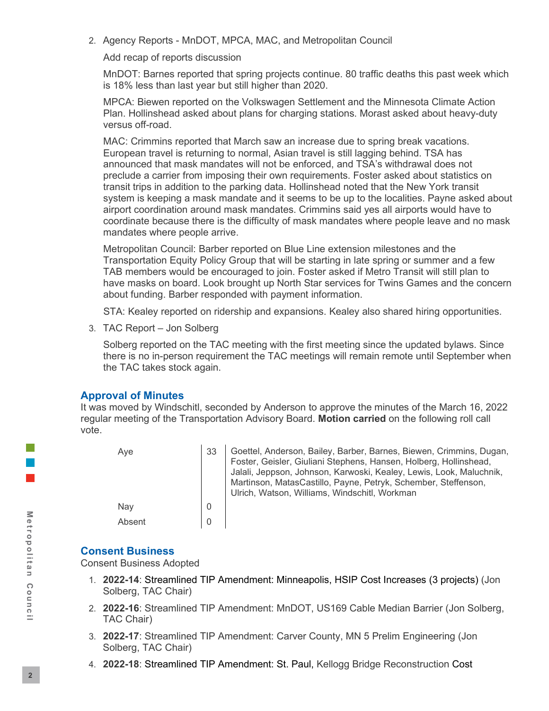2. Agency Reports - MnDOT, MPCA, MAC, and Metropolitan Council

Add recap of reports discussion

MnDOT: Barnes reported that spring projects continue. 80 traffic deaths this past week which is 18% less than last year but still higher than 2020.

MPCA: Biewen reported on the Volkswagen Settlement and the Minnesota Climate Action Plan. Hollinshead asked about plans for charging stations. Morast asked about heavy-duty versus off-road.

MAC: Crimmins reported that March saw an increase due to spring break vacations. European travel is returning to normal, Asian travel is still lagging behind. TSA has announced that mask mandates will not be enforced, and TSA's withdrawal does not preclude a carrier from imposing their own requirements. Foster asked about statistics on transit trips in addition to the parking data. Hollinshead noted that the New York transit system is keeping a mask mandate and it seems to be up to the localities. Payne asked about airport coordination around mask mandates. Crimmins said yes all airports would have to coordinate because there is the difficulty of mask mandates where people leave and no mask mandates where people arrive.

Metropolitan Council: Barber reported on Blue Line extension milestones and the Transportation Equity Policy Group that will be starting in late spring or summer and a few TAB members would be encouraged to join. Foster asked if Metro Transit will still plan to have masks on board. Look brought up North Star services for Twins Games and the concern about funding. Barber responded with payment information.

STA: Kealey reported on ridership and expansions. Kealey also shared hiring opportunities.

3. TAC Report – Jon Solberg

Solberg reported on the TAC meeting with the first meeting since the updated bylaws. Since there is no in-person requirement the TAC meetings will remain remote until September when the TAC takes stock again.

# **Approval of Minutes**

It was moved by Windschitl, seconded by Anderson to approve the minutes of the March 16, 2022 regular meeting of the Transportation Advisory Board. **Motion carried** on the following roll call vote.

| Aye    | 33 | Goettel, Anderson, Bailey, Barber, Barnes, Biewen, Crimmins, Dugan,<br>Foster, Geisler, Giuliani Stephens, Hansen, Holberg, Hollinshead,<br>Jalali, Jeppson, Johnson, Karwoski, Kealey, Lewis, Look, Maluchnik,<br>Martinson, MatasCastillo, Payne, Petryk, Schember, Steffenson,<br>Ulrich, Watson, Williams, Windschitl, Workman |
|--------|----|------------------------------------------------------------------------------------------------------------------------------------------------------------------------------------------------------------------------------------------------------------------------------------------------------------------------------------|
| Nay    |    |                                                                                                                                                                                                                                                                                                                                    |
| Absent |    |                                                                                                                                                                                                                                                                                                                                    |

# **Consent Business**

Consent Business Adopted

- 1. **2022-14**: Streamlined TIP Amendment: Minneapolis, HSIP Cost Increases (3 projects) (Jon Solberg, TAC Chair)
- 2. **2022-16**: Streamlined TIP Amendment: MnDOT, US169 Cable Median Barrier (Jon Solberg, TAC Chair)
- 3. **2022-17**: Streamlined TIP Amendment: Carver County, MN 5 Prelim Engineering (Jon Solberg, TAC Chair)
- 4. **2022-18**: Streamlined TIP Amendment: St. Paul, Kellogg Bridge Reconstruction Cost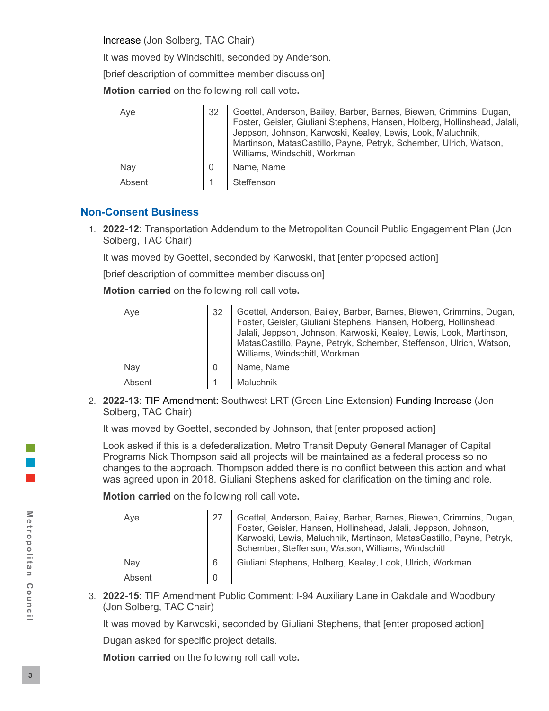Increase (Jon Solberg, TAC Chair)

It was moved by Windschitl, seconded by Anderson.

[brief description of committee member discussion]

**Motion carried** on the following roll call vote**.**

| Aye    | 32 | Goettel, Anderson, Bailey, Barber, Barnes, Biewen, Crimmins, Dugan,<br>Foster, Geisler, Giuliani Stephens, Hansen, Holberg, Hollinshead, Jalali,<br>Jeppson, Johnson, Karwoski, Kealey, Lewis, Look, Maluchnik,<br>Martinson, MatasCastillo, Payne, Petryk, Schember, Ulrich, Watson,<br>Williams, Windschitl, Workman |
|--------|----|------------------------------------------------------------------------------------------------------------------------------------------------------------------------------------------------------------------------------------------------------------------------------------------------------------------------|
| Nay    |    | Name, Name                                                                                                                                                                                                                                                                                                             |
| Absent |    | Steffenson                                                                                                                                                                                                                                                                                                             |

### **Non-Consent Business**

1. **2022-12**: Transportation Addendum to the Metropolitan Council Public Engagement Plan (Jon Solberg, TAC Chair)

It was moved by Goettel, seconded by Karwoski, that [enter proposed action]

[brief description of committee member discussion]

**Motion carried** on the following roll call vote**.**

| Aye    | 32 | Goettel, Anderson, Bailey, Barber, Barnes, Biewen, Crimmins, Dugan,<br>Foster, Geisler, Giuliani Stephens, Hansen, Holberg, Hollinshead,<br>Jalali, Jeppson, Johnson, Karwoski, Kealey, Lewis, Look, Martinson,<br>MatasCastillo, Payne, Petryk, Schember, Steffenson, Ulrich, Watson,<br>Williams, Windschitl, Workman |
|--------|----|-------------------------------------------------------------------------------------------------------------------------------------------------------------------------------------------------------------------------------------------------------------------------------------------------------------------------|
| Nay    | O  | Name, Name                                                                                                                                                                                                                                                                                                              |
| Absent |    | Maluchnik                                                                                                                                                                                                                                                                                                               |

2. **2022-13**: TIP Amendment: Southwest LRT (Green Line Extension) Funding Increase (Jon Solberg, TAC Chair)

It was moved by Goettel, seconded by Johnson, that [enter proposed action]

Look asked if this is a defederalization. Metro Transit Deputy General Manager of Capital Programs Nick Thompson said all projects will be maintained as a federal process so no changes to the approach. Thompson added there is no conflict between this action and what was agreed upon in 2018. Giuliani Stephens asked for clarification on the timing and role.

**Motion carried** on the following roll call vote**.**

| Aye    |   | Goettel, Anderson, Bailey, Barber, Barnes, Biewen, Crimmins, Dugan,<br>Foster, Geisler, Hansen, Hollinshead, Jalali, Jeppson, Johnson,<br>Karwoski, Lewis, Maluchnik, Martinson, MatasCastillo, Payne, Petryk,<br>Schember, Steffenson, Watson, Williams, Windschitl |
|--------|---|----------------------------------------------------------------------------------------------------------------------------------------------------------------------------------------------------------------------------------------------------------------------|
| Nav    | 6 | Giuliani Stephens, Holberg, Kealey, Look, Ulrich, Workman                                                                                                                                                                                                            |
| Absent |   |                                                                                                                                                                                                                                                                      |

3. **2022-15**: TIP Amendment Public Comment: I-94 Auxiliary Lane in Oakdale and Woodbury (Jon Solberg, TAC Chair)

It was moved by Karwoski, seconded by Giuliani Stephens, that [enter proposed action] Dugan asked for specific project details.

**Motion carried** on the following roll call vote**.**